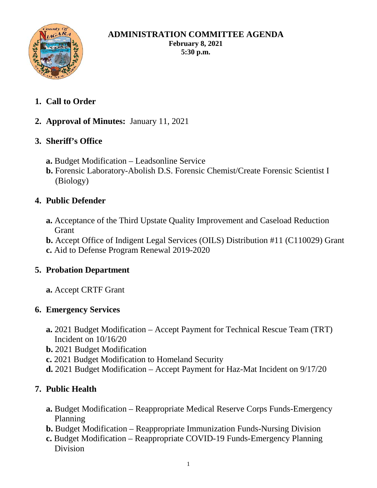

#### **ADMINISTRATION COMMITTEE AGENDA February 8, 2021 5:30 p.m.**

- **1. Call to Order**
- **2. Approval of Minutes:** January 11, 2021

# **3. Sheriff's Office**

- **a.** Budget Modification Leadsonline Service
- **b.** Forensic Laboratory-Abolish D.S. Forensic Chemist/Create Forensic Scientist I (Biology)

# **4. Public Defender**

**a.** Acceptance of the Third Upstate Quality Improvement and Caseload Reduction Grant

**b.** Accept Office of Indigent Legal Services (OILS) Distribution #11 (C110029) Grant **c.** Aid to Defense Program Renewal 2019-2020

# **5. Probation Department**

**a.** Accept CRTF Grant

# **6. Emergency Services**

- **a.** 2021 Budget Modification Accept Payment for Technical Rescue Team (TRT) Incident on 10/16/20
- **b.** 2021 Budget Modification
- **c.** 2021 Budget Modification to Homeland Security
- **d.** 2021 Budget Modification Accept Payment for Haz-Mat Incident on 9/17/20

# **7. Public Health**

- **a.** Budget Modification Reappropriate Medical Reserve Corps Funds-Emergency Planning
- **b.** Budget Modification Reappropriate Immunization Funds-Nursing Division
- **c.** Budget Modification Reappropriate COVID-19 Funds-Emergency Planning Division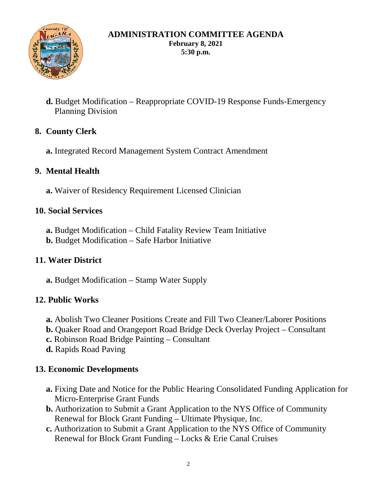

#### **ADMINISTRATION COMMITTEE AGENDA February 8, 2021 5:30 p.m.**

**d.** Budget Modification – Reappropriate COVID-19 Response Funds-Emergency Planning Division

## **8. County Clerk**

**a.** Integrated Record Management System Contract Amendment

### **9. Mental Health**

**a.** Waiver of Residency Requirement Licensed Clinician

#### **10. Social Services**

- **a.** Budget Modification Child Fatality Review Team Initiative
- **b.** Budget Modification Safe Harbor Initiative

### **11. Water District**

**a.** Budget Modification – Stamp Water Supply

### **12. Public Works**

- **a.** Abolish Two Cleaner Positions Create and Fill Two Cleaner/Laborer Positions
- **b.** Quaker Road and Orangeport Road Bridge Deck Overlay Project Consultant
- **c.** Robinson Road Bridge Painting Consultant
- **d.** Rapids Road Paving

### **13. Economic Developments**

- **a.** Fixing Date and Notice for the Public Hearing Consolidated Funding Application for Micro-Enterprise Grant Funds
- **b.** Authorization to Submit a Grant Application to the NYS Office of Community Renewal for Block Grant Funding – Ultimate Physique, Inc.
- **c.** Authorization to Submit a Grant Application to the NYS Office of Community Renewal for Block Grant Funding – Locks & Erie Canal Cruises